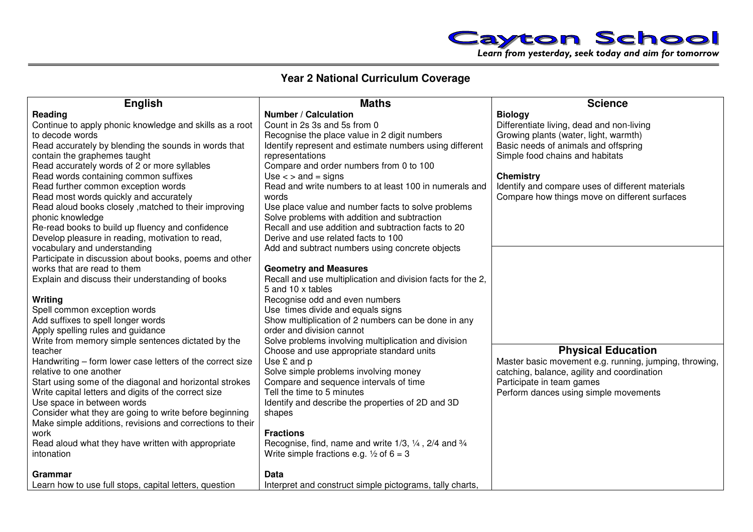

## **Year 2 National Curriculum Coverage**

| <b>English</b>                                                                     | <b>Maths</b>                                                                    | <b>Science</b>                                         |
|------------------------------------------------------------------------------------|---------------------------------------------------------------------------------|--------------------------------------------------------|
| Reading                                                                            | <b>Number / Calculation</b>                                                     | <b>Biology</b>                                         |
| Continue to apply phonic knowledge and skills as a root                            | Count in 2s 3s and 5s from 0                                                    | Differentiate living, dead and non-living              |
| to decode words                                                                    | Recognise the place value in 2 digit numbers                                    | Growing plants (water, light, warmth)                  |
| Read accurately by blending the sounds in words that                               | Identify represent and estimate numbers using different                         | Basic needs of animals and offspring                   |
| contain the graphemes taught                                                       | representations                                                                 | Simple food chains and habitats                        |
| Read accurately words of 2 or more syllables                                       | Compare and order numbers from 0 to 100                                         |                                                        |
| Read words containing common suffixes                                              | Use $\lt$ > and = signs                                                         | <b>Chemistry</b>                                       |
| Read further common exception words                                                | Read and write numbers to at least 100 in numerals and                          | Identify and compare uses of different materials       |
| Read most words quickly and accurately                                             | words                                                                           | Compare how things move on different surfaces          |
| Read aloud books closely, matched to their improving                               | Use place value and number facts to solve problems                              |                                                        |
| phonic knowledge                                                                   | Solve problems with addition and subtraction                                    |                                                        |
| Re-read books to build up fluency and confidence                                   | Recall and use addition and subtraction facts to 20                             |                                                        |
| Develop pleasure in reading, motivation to read,                                   | Derive and use related facts to 100                                             |                                                        |
| vocabulary and understanding                                                       | Add and subtract numbers using concrete objects                                 |                                                        |
| Participate in discussion about books, poems and other                             |                                                                                 |                                                        |
| works that are read to them                                                        | <b>Geometry and Measures</b>                                                    |                                                        |
| Explain and discuss their understanding of books                                   | Recall and use multiplication and division facts for the 2,                     |                                                        |
|                                                                                    | 5 and 10 x tables                                                               |                                                        |
| Writing                                                                            | Recognise odd and even numbers                                                  |                                                        |
| Spell common exception words                                                       | Use times divide and equals signs                                               |                                                        |
| Add suffixes to spell longer words                                                 | Show multiplication of 2 numbers can be done in any                             |                                                        |
| Apply spelling rules and guidance                                                  | order and division cannot                                                       |                                                        |
| Write from memory simple sentences dictated by the                                 | Solve problems involving multiplication and division                            |                                                        |
| teacher                                                                            | Choose and use appropriate standard units                                       | <b>Physical Education</b>                              |
| Handwriting - form lower case letters of the correct size                          | Use £ and p                                                                     | Master basic movement e.g. running, jumping, throwing, |
| relative to one another                                                            | Solve simple problems involving money                                           | catching, balance, agility and coordination            |
| Start using some of the diagonal and horizontal strokes                            | Compare and sequence intervals of time<br>Tell the time to 5 minutes            | Participate in team games                              |
| Write capital letters and digits of the correct size<br>Use space in between words |                                                                                 | Perform dances using simple movements                  |
| Consider what they are going to write before beginning                             | Identify and describe the properties of 2D and 3D<br>shapes                     |                                                        |
| Make simple additions, revisions and corrections to their                          |                                                                                 |                                                        |
| work                                                                               | <b>Fractions</b>                                                                |                                                        |
| Read aloud what they have written with appropriate                                 | Recognise, find, name and write $1/3$ , $\frac{1}{4}$ , $2/4$ and $\frac{3}{4}$ |                                                        |
| intonation                                                                         | Write simple fractions e.g. $\frac{1}{2}$ of 6 = 3                              |                                                        |
|                                                                                    |                                                                                 |                                                        |
| Grammar                                                                            | Data                                                                            |                                                        |
| Learn how to use full stops, capital letters, question                             | Interpret and construct simple pictograms, tally charts,                        |                                                        |